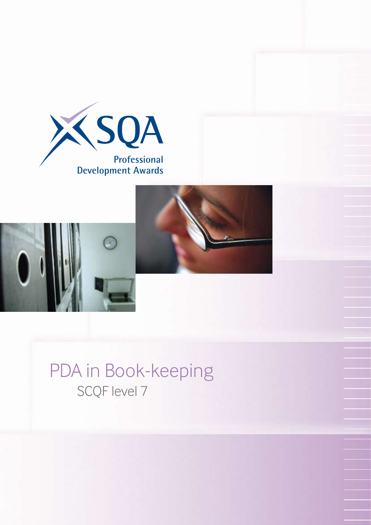



## PDA in Book-keeping SCQF level 7